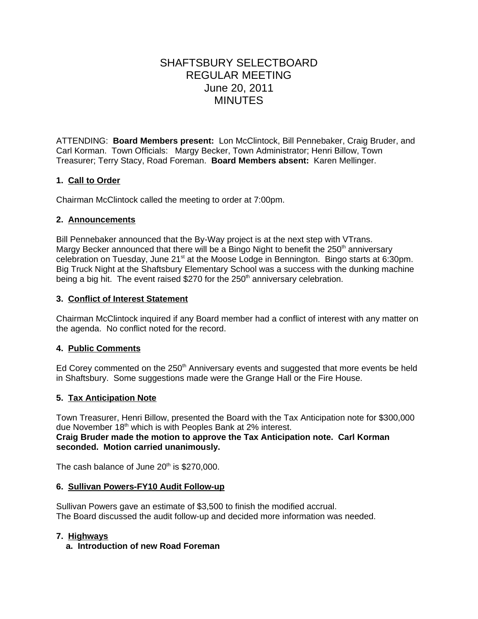# SHAFTSBURY SELECTBOARD REGULAR MEETING June 20, 2011 MINUTES

ATTENDING: **Board Members present:** Lon McClintock, Bill Pennebaker, Craig Bruder, and Carl Korman. Town Officials: Margy Becker, Town Administrator; Henri Billow, Town Treasurer; Terry Stacy, Road Foreman. **Board Members absent:** Karen Mellinger.

# **1. Call to Order**

Chairman McClintock called the meeting to order at 7:00pm.

### **2. Announcements**

Bill Pennebaker announced that the By-Way project is at the next step with VTrans. Margy Becker announced that there will be a Bingo Night to benefit the  $250<sup>th</sup>$  anniversary celebration on Tuesday, June 21<sup>st</sup> at the Moose Lodge in Bennington. Bingo starts at 6:30pm. Big Truck Night at the Shaftsbury Elementary School was a success with the dunking machine being a big hit. The event raised \$270 for the  $250<sup>th</sup>$  anniversary celebration.

## **3. Conflict of Interest Statement**

Chairman McClintock inquired if any Board member had a conflict of interest with any matter on the agenda. No conflict noted for the record.

## **4. Public Comments**

Ed Corey commented on the  $250<sup>th</sup>$  Anniversary events and suggested that more events be held in Shaftsbury. Some suggestions made were the Grange Hall or the Fire House.

## **5. Tax Anticipation Note**

Town Treasurer, Henri Billow, presented the Board with the Tax Anticipation note for \$300,000 due November 18<sup>th</sup> which is with Peoples Bank at 2% interest. **Craig Bruder made the motion to approve the Tax Anticipation note. Carl Korman seconded. Motion carried unanimously.**

The cash balance of June  $20<sup>th</sup>$  is \$270,000.

#### **6. Sullivan Powers-FY10 Audit Follow-up**

Sullivan Powers gave an estimate of \$3,500 to finish the modified accrual. The Board discussed the audit follow-up and decided more information was needed.

## **7. Highways**

## **a. Introduction of new Road Foreman**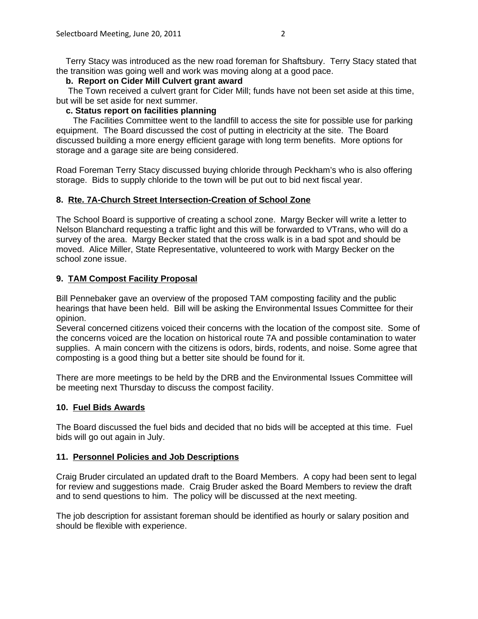Terry Stacy was introduced as the new road foreman for Shaftsbury. Terry Stacy stated that the transition was going well and work was moving along at a good pace.

## **b. Report on Cider Mill Culvert grant award**

The Town received a culvert grant for Cider Mill; funds have not been set aside at this time, but will be set aside for next summer.

## **c. Status report on facilities planning**

 The Facilities Committee went to the landfill to access the site for possible use for parking equipment. The Board discussed the cost of putting in electricity at the site. The Board discussed building a more energy efficient garage with long term benefits. More options for storage and a garage site are being considered.

Road Foreman Terry Stacy discussed buying chloride through Peckham's who is also offering storage. Bids to supply chloride to the town will be put out to bid next fiscal year.

### **8. Rte. 7A-Church Street Intersection-Creation of School Zone**

The School Board is supportive of creating a school zone. Margy Becker will write a letter to Nelson Blanchard requesting a traffic light and this will be forwarded to VTrans, who will do a survey of the area. Margy Becker stated that the cross walk is in a bad spot and should be moved. Alice Miller, State Representative, volunteered to work with Margy Becker on the school zone issue.

## **9. TAM Compost Facility Proposal**

Bill Pennebaker gave an overview of the proposed TAM composting facility and the public hearings that have been held. Bill will be asking the Environmental Issues Committee for their opinion.

Several concerned citizens voiced their concerns with the location of the compost site. Some of the concerns voiced are the location on historical route 7A and possible contamination to water supplies. A main concern with the citizens is odors, birds, rodents, and noise. Some agree that composting is a good thing but a better site should be found for it.

There are more meetings to be held by the DRB and the Environmental Issues Committee will be meeting next Thursday to discuss the compost facility.

## **10. Fuel Bids Awards**

The Board discussed the fuel bids and decided that no bids will be accepted at this time. Fuel bids will go out again in July.

## **11. Personnel Policies and Job Descriptions**

Craig Bruder circulated an updated draft to the Board Members. A copy had been sent to legal for review and suggestions made. Craig Bruder asked the Board Members to review the draft and to send questions to him. The policy will be discussed at the next meeting.

The job description for assistant foreman should be identified as hourly or salary position and should be flexible with experience.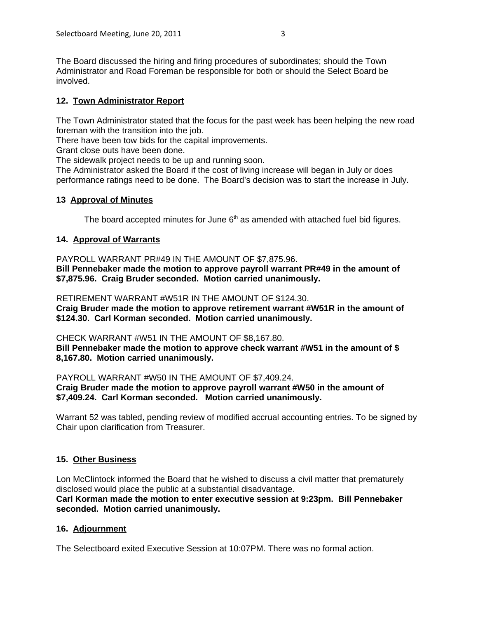The Board discussed the hiring and firing procedures of subordinates; should the Town Administrator and Road Foreman be responsible for both or should the Select Board be involved.

# **12. Town Administrator Report**

The Town Administrator stated that the focus for the past week has been helping the new road foreman with the transition into the job.

There have been tow bids for the capital improvements.

Grant close outs have been done.

The sidewalk project needs to be up and running soon.

The Administrator asked the Board if the cost of living increase will began in July or does performance ratings need to be done. The Board's decision was to start the increase in July.

### **13 Approval of Minutes**

The board accepted minutes for June  $6<sup>th</sup>$  as amended with attached fuel bid figures.

## **14. Approval of Warrants**

PAYROLL WARRANT PR#49 IN THE AMOUNT OF \$7,875.96. **Bill Pennebaker made the motion to approve payroll warrant PR#49 in the amount of \$7,875.96. Craig Bruder seconded. Motion carried unanimously.** 

RETIREMENT WARRANT #W51R IN THE AMOUNT OF \$124.30. **Craig Bruder made the motion to approve retirement warrant #W51R in the amount of \$124.30. Carl Korman seconded. Motion carried unanimously.**

#### CHECK WARRANT #W51 IN THE AMOUNT OF \$8,167.80.

**Bill Pennebaker made the motion to approve check warrant #W51 in the amount of \$ 8,167.80. Motion carried unanimously.**

PAYROLL WARRANT #W50 IN THE AMOUNT OF \$7,409.24.

**Craig Bruder made the motion to approve payroll warrant #W50 in the amount of \$7,409.24. Carl Korman seconded. Motion carried unanimously.**

Warrant 52 was tabled, pending review of modified accrual accounting entries. To be signed by Chair upon clarification from Treasurer.

## **15. Other Business**

Lon McClintock informed the Board that he wished to discuss a civil matter that prematurely disclosed would place the public at a substantial disadvantage.

**Carl Korman made the motion to enter executive session at 9:23pm. Bill Pennebaker seconded. Motion carried unanimously.** 

## **16. Adjournment**

The Selectboard exited Executive Session at 10:07PM. There was no formal action.